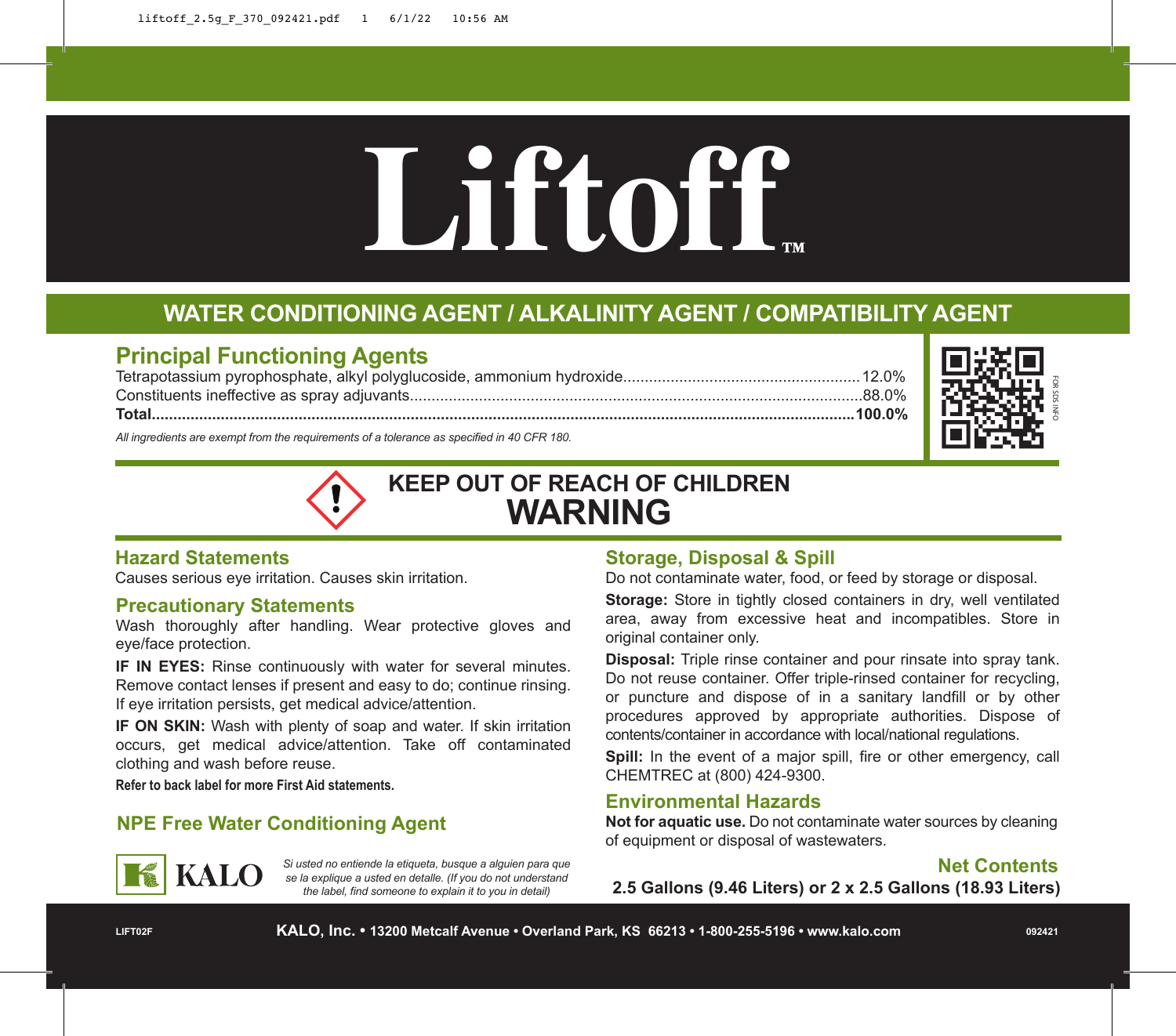# Liftoff **DRAFTLIFT**<br> **DRAFTLIFT**<br> **DRAFTLIFT**<br> **DRAFTLIFT**<br> **DRAFTLIFT**<br> **DRAFTLIFT**<br> **DRAFTLIFT**<br> **DRAFTLIFT**<br> **DRAFTLIFT**

## **WATER CONDITIONING AGENT / ALKALINITY AGENT / COMPATIBILITY AGENT**

### **Principal Functioning Agents**

Tetrapotassium pyrophosphate, alkyl polyglucoside, ammonium hydroxide.......................................................12.0% Constituents ineffective as spray adjuvants.........................................................................................................88.0% **Total...................................................................................................................................................................100.0%**



*All ingredients are exempt from the requirements of a tolerance as specified in 40 CFR 180.*

# **KEEP OUT OF REACH OF CHILDREN WARNING**

### **Hazard Statements**

Causes serious eye irritation. Causes skin irritation.

### **Precautionary Statements**

Wash thoroughly after handling. Wear protective gloves and eye/face protection.

**IF IN EYES:** Rinse continuously with water for several minutes. Remove contact lenses if present and easy to do; continue rinsing. If eye irritation persists, get medical advice/attention.

**IF ON SKIN:** Wash with plenty of soap and water. If skin irritation occurs, get medical advice/attention. Take off contaminated clothing and wash before reuse.

**Refer to back label for more First Aid statements.**

### **NPE Free Water Conditioning Agent**



*Si usted no entiende la etiqueta, busque a alguien para que se la explique a usted en detalle. (If you do not understand the label, find someone to explain it to you in detail)*

### **Storage, Disposal & Spill**

Do not contaminate water, food, or feed by storage or disposal.

**Storage:** Store in tightly closed containers in dry, well ventilated area, away from excessive heat and incompatibles. Store in original container only.

**Disposal:** Triple rinse container and pour rinsate into spray tank. Do not reuse container. Offer triple-rinsed container for recycling, or puncture and dispose of in a sanitary landfill or by other procedures approved by appropriate authorities. Dispose of contents/container in accordance with local/national regulations.

**Spill:** In the event of a major spill, fire or other emergency, call CHEMTREC at (800) 424-9300.

### **Environmental Hazards**

**Not for aquatic use.** Do not contaminate water sources by cleaning of equipment or disposal of wastewaters.

### **Net Contents**

**2.5 Gallons (9.46 Liters) or 2 x 2.5 Gallons (18.93 Liters)**

**092421**